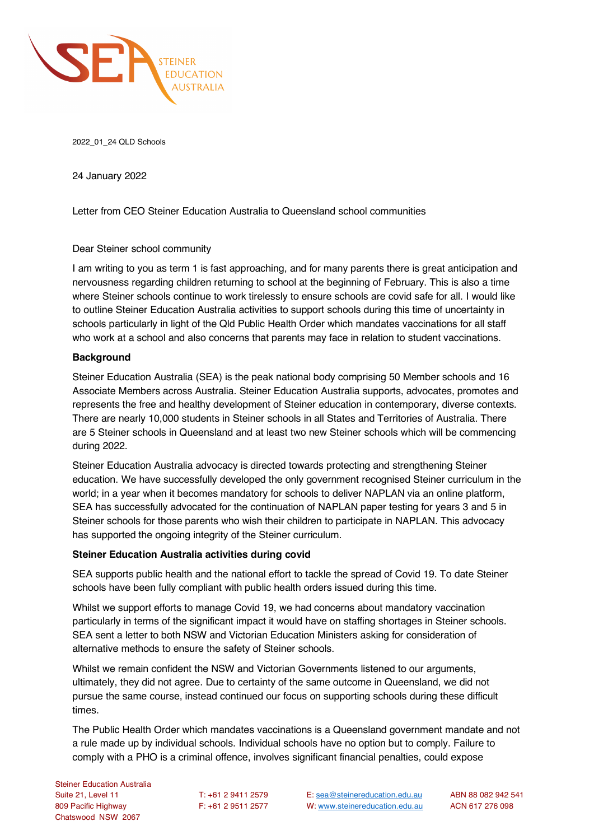

2022\_01\_24 QLD Schools

24 January 2022

Letter from CEO Steiner Education Australia to Queensland school communities

# Dear Steiner school community

I am writing to you as term 1 is fast approaching, and for many parents there is great anticipation and nervousness regarding children returning to school at the beginning of February. This is also a time where Steiner schools continue to work tirelessly to ensure schools are covid safe for all. I would like to outline Steiner Education Australia activities to support schools during this time of uncertainty in schools particularly in light of the Qld Public Health Order which mandates vaccinations for all staff who work at a school and also concerns that parents may face in relation to student vaccinations.

# **Background**

Steiner Education Australia (SEA) is the peak national body comprising 50 Member schools and 16 Associate Members across Australia. Steiner Education Australia supports, advocates, promotes and represents the free and healthy development of Steiner education in contemporary, diverse contexts. There are nearly 10,000 students in Steiner schools in all States and Territories of Australia. There are 5 Steiner schools in Queensland and at least two new Steiner schools which will be commencing during 2022.

Steiner Education Australia advocacy is directed towards protecting and strengthening Steiner education. We have successfully developed the only government recognised Steiner curriculum in the world; in a year when it becomes mandatory for schools to deliver NAPLAN via an online platform, SEA has successfully advocated for the continuation of NAPLAN paper testing for years 3 and 5 in Steiner schools for those parents who wish their children to participate in NAPLAN. This advocacy has supported the ongoing integrity of the Steiner curriculum.

# **Steiner Education Australia activities during covid**

SEA supports public health and the national effort to tackle the spread of Covid 19. To date Steiner schools have been fully compliant with public health orders issued during this time.

Whilst we support efforts to manage Covid 19, we had concerns about mandatory vaccination particularly in terms of the significant impact it would have on staffing shortages in Steiner schools. SEA sent a letter to both NSW and Victorian Education Ministers asking for consideration of alternative methods to ensure the safety of Steiner schools.

Whilst we remain confident the NSW and Victorian Governments listened to our arguments, ultimately, they did not agree. Due to certainty of the same outcome in Queensland, we did not pursue the same course, instead continued our focus on supporting schools during these difficult times.

The Public Health Order which mandates vaccinations is a Queensland government mandate and not a rule made up by individual schools. Individual schools have no option but to comply. Failure to comply with a PHO is a criminal offence, involves significant financial penalties, could expose

Suite 21, Level 11 T: +61 2 9411 2579 E: sea@steinereducation.edu.au ABN 88 082 942 541 809 Pacific Highway F: +61 2 9511 2577 W: www.steinereducation.edu.au ACN 617 276 098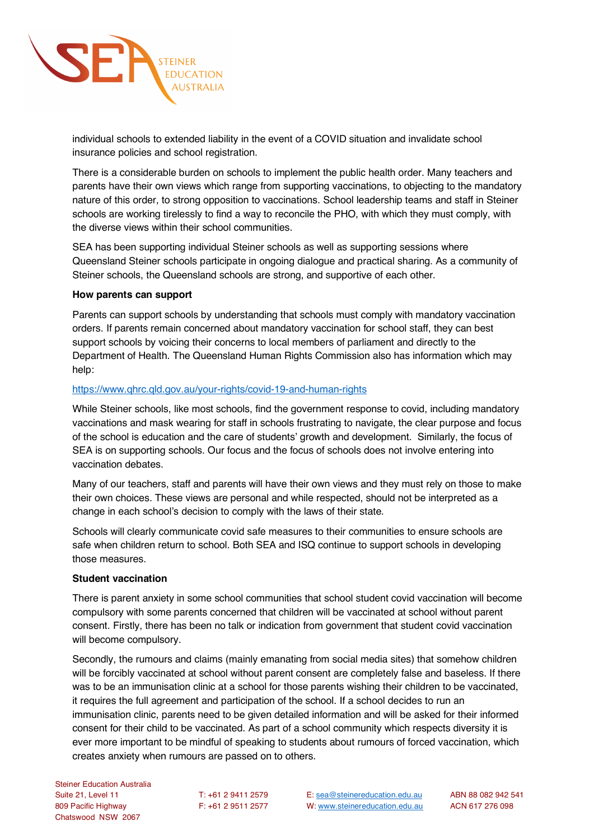

individual schools to extended liability in the event of a COVID situation and invalidate school insurance policies and school registration.

There is a considerable burden on schools to implement the public health order. Many teachers and parents have their own views which range from supporting vaccinations, to objecting to the mandatory nature of this order, to strong opposition to vaccinations. School leadership teams and staff in Steiner schools are working tirelessly to find a way to reconcile the PHO, with which they must comply, with the diverse views within their school communities.

SEA has been supporting individual Steiner schools as well as supporting sessions where Queensland Steiner schools participate in ongoing dialogue and practical sharing. As a community of Steiner schools, the Queensland schools are strong, and supportive of each other.

## **How parents can support**

Parents can support schools by understanding that schools must comply with mandatory vaccination orders. If parents remain concerned about mandatory vaccination for school staff, they can best support schools by voicing their concerns to local members of parliament and directly to the Department of Health. The Queensland Human Rights Commission also has information which may help:

## https://www.qhrc.qld.gov.au/your-rights/covid-19-and-human-rights

While Steiner schools, like most schools, find the government response to covid, including mandatory vaccinations and mask wearing for staff in schools frustrating to navigate, the clear purpose and focus of the school is education and the care of students' growth and development. Similarly, the focus of SEA is on supporting schools. Our focus and the focus of schools does not involve entering into vaccination debates.

Many of our teachers, staff and parents will have their own views and they must rely on those to make their own choices. These views are personal and while respected, should not be interpreted as a change in each school's decision to comply with the laws of their state.

Schools will clearly communicate covid safe measures to their communities to ensure schools are safe when children return to school. Both SEA and ISQ continue to support schools in developing those measures.

### **Student vaccination**

There is parent anxiety in some school communities that school student covid vaccination will become compulsory with some parents concerned that children will be vaccinated at school without parent consent. Firstly, there has been no talk or indication from government that student covid vaccination will become compulsory.

Secondly, the rumours and claims (mainly emanating from social media sites) that somehow children will be forcibly vaccinated at school without parent consent are completely false and baseless. If there was to be an immunisation clinic at a school for those parents wishing their children to be vaccinated, it requires the full agreement and participation of the school. If a school decides to run an immunisation clinic, parents need to be given detailed information and will be asked for their informed consent for their child to be vaccinated. As part of a school community which respects diversity it is ever more important to be mindful of speaking to students about rumours of forced vaccination, which creates anxiety when rumours are passed on to others.

809 Pacific Highway F: +61 2 9511 2577 W: www.steinereducation.edu.au ACN 617 276 098